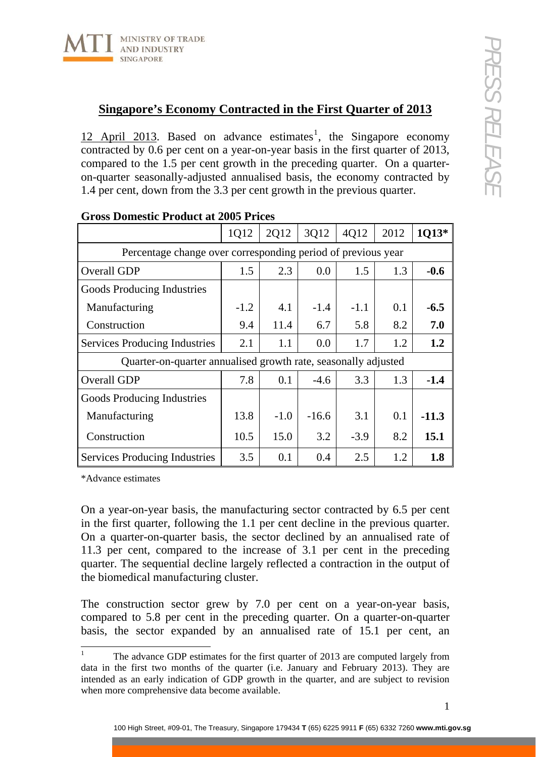

## **Singapore's Economy Contracted in the First Quarter of 2013**

[1](#page-0-0)2 April 2013. Based on advance estimates<sup>1</sup>, the Singapore economy contracted by 0.6 per cent on a year-on-year basis in the first quarter of 2013, compared to the 1.5 per cent growth in the preceding quarter. On a quarteron-quarter seasonally-adjusted annualised basis, the economy contracted by 1.4 per cent, down from the 3.3 per cent growth in the previous quarter.

|                                                                | 1Q12   | 2Q12   | 3Q12    | 4Q12   | 2012 | 1Q13*   |
|----------------------------------------------------------------|--------|--------|---------|--------|------|---------|
| Percentage change over corresponding period of previous year   |        |        |         |        |      |         |
| Overall GDP                                                    | 1.5    | 2.3    | 0.0     | 1.5    | 1.3  | $-0.6$  |
| Goods Producing Industries                                     |        |        |         |        |      |         |
| Manufacturing                                                  | $-1.2$ | 4.1    | $-1.4$  | $-1.1$ | 0.1  | $-6.5$  |
| Construction                                                   | 9.4    | 11.4   | 6.7     | 5.8    | 8.2  | 7.0     |
| <b>Services Producing Industries</b>                           | 2.1    | 1.1    | 0.0     | 1.7    | 1.2  | 1.2     |
| Quarter-on-quarter annualised growth rate, seasonally adjusted |        |        |         |        |      |         |
| Overall GDP                                                    | 7.8    | 0.1    | $-4.6$  | 3.3    | 1.3  | $-1.4$  |
| Goods Producing Industries                                     |        |        |         |        |      |         |
| Manufacturing                                                  | 13.8   | $-1.0$ | $-16.6$ | 3.1    | 0.1  | $-11.3$ |
| Construction                                                   | 10.5   | 15.0   | 3.2     | $-3.9$ | 8.2  | 15.1    |
| <b>Services Producing Industries</b>                           | 3.5    | 0.1    | 0.4     | 2.5    | 1.2  | 1.8     |

## **Gross Domestic Product at 2005 Prices**

\*Advance estimates

On a year-on-year basis, the manufacturing sector contracted by 6.5 per cent in the first quarter, following the 1.1 per cent decline in the previous quarter. On a quarter-on-quarter basis, the sector declined by an annualised rate of 11.3 per cent, compared to the increase of 3.1 per cent in the preceding quarter. The sequential decline largely reflected a contraction in the output of the biomedical manufacturing cluster.

The construction sector grew by 7.0 per cent on a year-on-year basis, compared to 5.8 per cent in the preceding quarter. On a quarter-on-quarter basis, the sector expanded by an annualised rate of 15.1 per cent, an

<span id="page-0-0"></span> $\frac{1}{1}$  The advance GDP estimates for the first quarter of 2013 are computed largely from data in the first two months of the quarter (i.e. January and February 2013). They are intended as an early indication of GDP growth in the quarter, and are subject to revision when more comprehensive data become available.